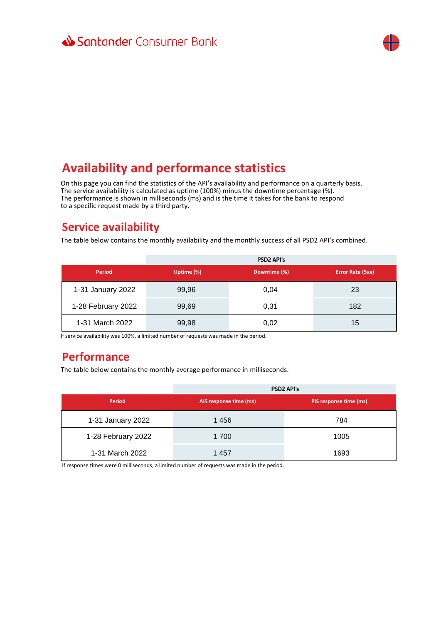

## **Availability and performance statistics**

On this page you can find the statistics of the API's availability and performance on a quarterly basis. The service availability is calculated as uptime (100%) minus the downtime percentage (%). The performance is shown in milliseconds (ms) and is the time it takes for the bank to respond to a specific request made by a third party.

### **Service availability**

The table below contains the monthly availability and the monthly success of all PSD2 API's combined.

|                    |            | <b>PSD2 API's</b> |                  |
|--------------------|------------|-------------------|------------------|
| Period             | Uptime (%) | Downtime (%)      | Error Rate (5xx) |
| 1-31 January 2022  | 99,96      | 0,04              | 23               |
| 1-28 February 2022 | 99,69      | 0,31              | 182              |
| 1-31 March 2022    | 99,98      | 0,02              | 15               |

If service availability was 100%, a limited number of requests was made in the period.

### **Performance**

The table below contains the monthly average performance in milliseconds.

|                    | <b>PSD2 API's</b>      |                        |
|--------------------|------------------------|------------------------|
| Period             | AIS response time (ms) | PIS response time (ms) |
| 1-31 January 2022  | 1456                   | 784                    |
| 1-28 February 2022 | 1 700                  | 1005                   |
| 1-31 March 2022    | 1457                   | 1693                   |

If response times were 0 milliseconds, a limited number of requests was made in the period.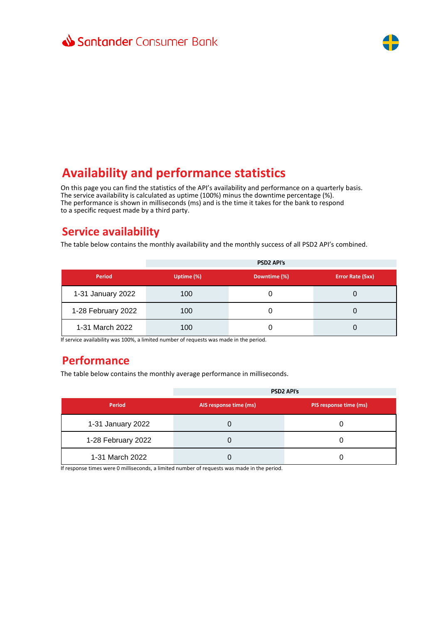

# **Availability and performance statistics**

On this page you can find the statistics of the API's availability and performance on a quarterly basis. The service availability is calculated as uptime (100%) minus the downtime percentage (%). The performance is shown in milliseconds (ms) and is the time it takes for the bank to respond to a specific request made by a third party.

### **Service availability**

The table below contains the monthly availability and the monthly success of all PSD2 API's combined.

|                    |            | <b>PSD2 API's</b> |                  |
|--------------------|------------|-------------------|------------------|
| Period             | Uptime (%) | Downtime (%)      | Error Rate (5xx) |
| 1-31 January 2022  | 100        | O                 |                  |
| 1-28 February 2022 | 100        | 0                 |                  |
| 1-31 March 2022    | 100        | 0                 |                  |

If service availability was 100%, a limited number of requests was made in the period.

#### **Performance**

The table below contains the monthly average performance in milliseconds.

|                    | <b>PSD2 API's</b>      |                        |
|--------------------|------------------------|------------------------|
| Period             | AIS response time (ms) | PIS response time (ms) |
| 1-31 January 2022  |                        |                        |
| 1-28 February 2022 |                        |                        |
| 1-31 March 2022    |                        |                        |

If response times were 0 milliseconds, a limited number of requests was made in the period.